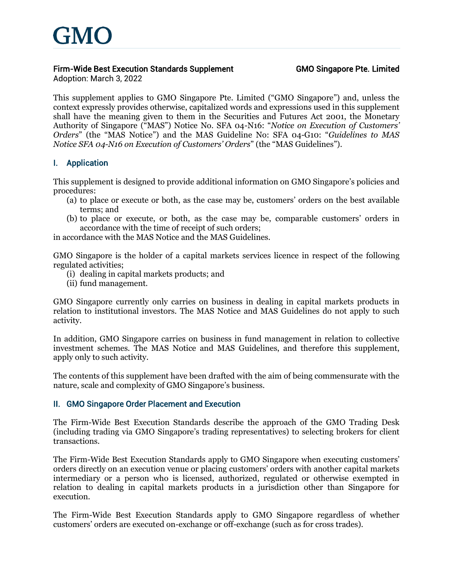

## *Firm-Wide Best Execution Standards Supplement*

*Adoption: March 3, 2022*

This supplement applies to GMO Singapore Pte. Limited ("GMO Singapore") and, unless the context expressly provides otherwise, capitalized words and expressions used in this supplement shall have the meaning given to them in the Securities and Futures Act 2001, the Monetary Authority of Singapore ("MAS") Notice No. SFA 04-N16: "*Notice on Execution of Customers' Orders*" (the "MAS Notice") and the MAS Guideline No: SFA 04-G10: "*Guidelines to MAS Notice SFA 04-N16 on Execution of Customers' Orders*" (the "MAS Guidelines").

## *I. Application*

This supplement is designed to provide additional information on GMO Singapore's policies and procedures:

- (a) to place or execute or both, as the case may be, customers' orders on the best available terms; and
- (b) to place or execute, or both, as the case may be, comparable customers' orders in accordance with the time of receipt of such orders;

in accordance with the MAS Notice and the MAS Guidelines.

GMO Singapore is the holder of a capital markets services licence in respect of the following regulated activities;

- (i) dealing in capital markets products; and
- (ii) fund management.

GMO Singapore currently only carries on business in dealing in capital markets products in relation to institutional investors. The MAS Notice and MAS Guidelines do not apply to such activity.

In addition, GMO Singapore carries on business in fund management in relation to collective investment schemes. The MAS Notice and MAS Guidelines, and therefore this supplement, apply only to such activity.

The contents of this supplement have been drafted with the aim of being commensurate with the nature, scale and complexity of GMO Singapore's business.

#### *II. GMO Singapore Order Placement and Execution*

The Firm-Wide Best Execution Standards describe the approach of the GMO Trading Desk (including trading via GMO Singapore's trading representatives) to selecting brokers for client transactions.

The Firm-Wide Best Execution Standards apply to GMO Singapore when executing customers' orders directly on an execution venue or placing customers' orders with another capital markets intermediary or a person who is licensed, authorized, regulated or otherwise exempted in relation to dealing in capital markets products in a jurisdiction other than Singapore for execution.

The Firm-Wide Best Execution Standards apply to GMO Singapore regardless of whether customers' orders are executed on-exchange or off-exchange (such as for cross trades).